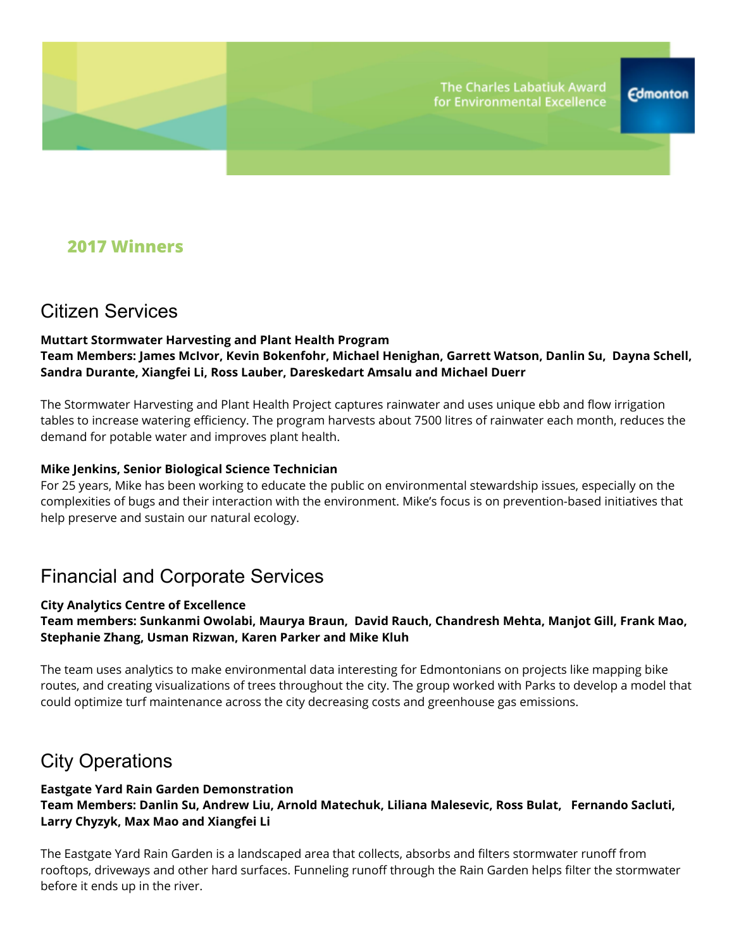### **2017 Winners**

## Citizen Services

#### **Muttart Stormwater Harvesting and Plant Health Program Team Members: James McIvor, Kevin Bokenfohr, Michael Henighan, Garrett Watson, Danlin Su, Dayna Schell, Sandra Durante, Xiangfei Li, Ross Lauber, Dareskedart Amsalu and Michael Duerr**

The Stormwater Harvesting and Plant Health Project captures rainwater and uses unique ebb and flow irrigation tables to increase watering efficiency. The program harvests about 7500 litres of rainwater each month, reduces the demand for potable water and improves plant health.

#### **Mike Jenkins, Senior Biological Science Technician**

For 25 years, Mike has been working to educate the public on environmental stewardship issues, especially on the complexities of bugs and their interaction with the environment. Mike's focus is on prevention-based initiatives that help preserve and sustain our natural ecology.

## Financial and Corporate Services

#### **City Analytics Centre of Excellence**

#### **Team members: Sunkanmi Owolabi, Maurya Braun, David Rauch, Chandresh Mehta, Manjot Gill, Frank Mao, Stephanie Zhang, Usman Rizwan, Karen Parker and Mike Kluh**

The team uses analytics to make environmental data interesting for Edmontonians on projects like mapping bike routes, and creating visualizations of trees throughout the city. The group worked with Parks to develop a model that could optimize turf maintenance across the city decreasing costs and greenhouse gas emissions.

### City Operations

#### **Eastgate Yard Rain Garden Demonstration Team Members: Danlin Su, Andrew Liu, Arnold Matechuk, Liliana Malesevic, Ross Bulat, Fernando Sacluti, Larry Chyzyk, Max Mao and Xiangfei Li**

The Eastgate Yard Rain Garden is a landscaped area that collects, absorbs and filters stormwater runoff from rooftops, driveways and other hard surfaces. Funneling runoff through the Rain Garden helps filter the stormwater before it ends up in the river.